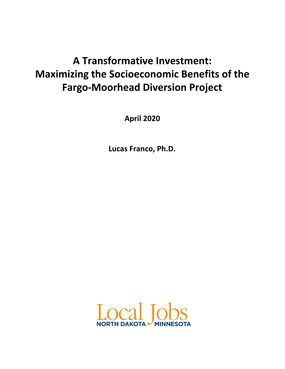# **A Transformative Investment: Maximizing the Socioeconomic Benefits of the Fargo-Moorhead Diversion Project**

**April 2020**

**Lucas Franco, Ph.D.**

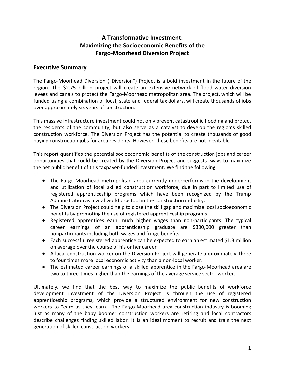# **A Transformative Investment: Maximizing the Socioeconomic Benefits of the Fargo-Moorhead Diversion Project**

### **Executive Summary**

The Fargo-Moorhead Diversion ("Diversion") Project is a bold investment in the future of the region. The \$2.75 billion project will create an extensive network of flood water diversion levees and canals to protect the Fargo-Moorhead metropolitan area. The project, which will be funded using a combination of local, state and federal tax dollars, will create thousands of jobs over approximately six years of construction.

This massive infrastructure investment could not only prevent catastrophic flooding and protect the residents of the community, but also serve as a catalyst to develop the region's skilled construction workforce. The Diversion Project has the potential to create thousands of good paying construction jobs for area residents. However, these benefits are not inevitable.

This report quantifies the potential socioeconomic benefits of the construction jobs and career opportunities that could be created by the Diversion Project and suggests ways to maximize the net public benefit of this taxpayer-funded investment. We find the following:

- The Fargo-Moorhead metropolitan area currently underperforms in the development and utilization of local skilled construction workforce, due in part to limited use of registered apprenticeship programs which have been recognized by the Trump Administration as a vital workforce tool in the construction industry.
- The Diversion Project could help to close the skill gap and maximize local socioeconomic benefits by promoting the use of registered apprenticeship programs.
- Registered apprentices earn much higher wages than non-participants. The typical career earnings of an apprenticeship graduate are \$300,000 greater than nonparticipants including both wages and fringe benefits.
- Each successful registered apprentice can be expected to earn an estimated \$1.3 million on average over the course of his or her career.
- A local construction worker on the Diversion Project will generate approximately three to four times more local economic activity than a non-local worker.
- The estimated career earnings of a skilled apprentice in the Fargo-Moorhead area are two to three-times higher than the earnings of the average service sector worker.

Ultimately, we find that the best way to maximize the public benefits of workforce development investment of the Diversion Project is through the use of registered apprenticeship programs, which provide a structured environment for new construction workers to "earn as they learn." The Fargo-Moorhead area construction industry is booming just as many of the baby boomer construction workers are retiring and local contractors describe challenges finding skilled labor. It is an ideal moment to recruit and train the next generation of skilled construction workers.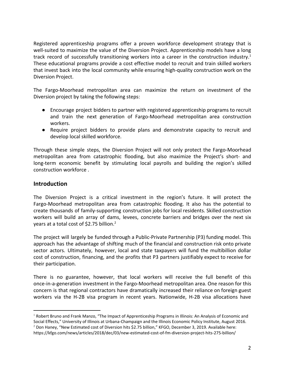Registered apprenticeship programs offer a proven workforce development strategy that is well-suited to maximize the value of the Diversion Project. Apprenticeship models have a long track record of successfully transitioning workers into a career in the construction industry.<sup>1</sup> These educational programs provide a cost effective model to recruit and train skilled workers that invest back into the local community while ensuring high-quality construction work on the Diversion Project.

The Fargo-Moorhead metropolitan area can maximize the return on investment of the Diversion project by taking the following steps:

- Encourage project bidders to partner with registered apprenticeship programs to recruit and train the next generation of Fargo-Moorhead metropolitan area construction workers.
- Require project bidders to provide plans and demonstrate capacity to recruit and develop local skilled workforce.

Through these simple steps, the Diversion Project will not only protect the Fargo-Moorhead metropolitan area from catastrophic flooding, but also maximize the Project's short- and long-term economic benefit by stimulating local payrolls and building the region's skilled construction workforce .

## **Introduction**

The Diversion Project is a critical investment in the region's future. It will protect the Fargo-Moorhead metropolitan area from catastrophic flooding. It also has the potential to create thousands of family-supporting construction jobs for local residents. Skilled construction workers will build an array of dams, levees, concrete barriers and bridges over the next six years at a total cost of \$2.75 billion.<sup>2</sup>

The project will largely be funded through a Public-Private Partnership (P3) funding model. This approach has the advantage of shifting much of the financial and construction risk onto private sector actors. Ultimately, however, local and state taxpayers will fund the multibillion dollar cost of construction, financing, and the profits that P3 partners justifiably expect to receive for their participation.

There is no guarantee, however, that local workers will receive the full benefit of this once-in-a-generation investment in the Fargo-Moorhead metropolitan area. One reason for this concern is that regional contractors have dramatically increased their reliance on foreign guest workers via the H-2B visa program in recent years. Nationwide, H-2B visa allocations have

<sup>&</sup>lt;sup>1</sup> Robert Bruno and Frank Manzo, "The Impact of Apprenticeship Programs in Illinois: An Analysis of Economic and Social Effects," University of Illinois at Urbana-Champaign and the Illinois Economic Policy Institute, August 2016.

<sup>&</sup>lt;sup>2</sup> Don Haney, "New Estimated cost of Diversion hits \$2.75 billion," KFGO, December 3, 2019. Available here: https://kfgo.com/news/articles/2018/dec/03/new-estimated-cost-of-fm-diversion-project-hits-275-billion/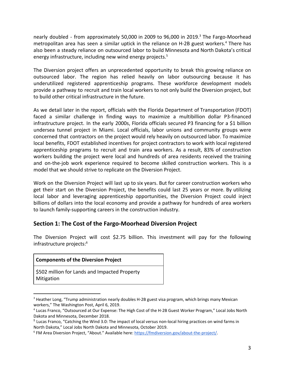nearly doubled - from approximately 50,000 in 2009 to 96,000 in 2019.<sup>3</sup> The Fargo-Moorhead metropolitan area has seen a similar uptick in the reliance on H-2B guest workers.<sup>4</sup> There has also been a steady reliance on outsourced labor to build Minnesota and North Dakota's critical energy infrastructure, including new wind energy projects.<sup>5</sup>

The Diversion project offers an unprecedented opportunity to break this growing reliance on outsourced labor. The region has relied heavily on labor outsourcing because it has underutilized registered apprenticeship programs. These workforce development models provide a pathway to recruit and train local workers to not only build the Diversion project, but to build other critical infrastructure in the future.

As we detail later in the report, officials with the Florida Department of Transportation (FDOT) faced a similar challenge in finding ways to maximize a multibillion dollar P3-financed infrastructure project. In the early 2000s, Florida officials secured P3 financing for a \$1 billion undersea tunnel project in Miami. Local officials, labor unions and community groups were concerned that contractors on the project would rely heavily on outsourced labor. To maximize local benefits, FDOT established incentives for project contractors to work with local registered apprenticeship programs to recruit and train area workers. As a result, 83% of construction workers building the project were local and hundreds of area residents received the training and on-the-job work experience required to become skilled construction workers. This is a model that we should strive to replicate on the Diversion Project.

Work on the Diversion Project will last up to six years. But for career construction workers who get their start on the Diversion Project, the benefits could last 25 years or more. By utilizing local labor and leveraging apprenticeship opportunities, the Diversion Project could inject billions of dollars into the local economy and provide a pathway for hundreds of area workers to launch family-supporting careers in the construction industry.

# **Section 1: The Cost of the Fargo-Moorhead Diversion Project**

The Diversion Project will cost \$2.75 billion. This investment will pay for the following infrastructure projects:<sup>6</sup>

#### **Components of the Diversion Project**

\$502 million for Lands and Impacted Property **Mitigation** 

<sup>&</sup>lt;sup>3</sup> Heather Long, "Trump administration nearly doubles H-2B guest visa program, which brings many Mexican workers," The Washington Post, April 6, 2019.

<sup>4</sup> Lucas Franco, "Outsourced at Our Expense: The High Cost of the H-2B Guest Worker Program," Local Jobs North Dakota and Minnesota, December 2018.

<sup>5</sup> Lucas Franco, "Catching the Wind 3.0: The impact of local versus non-local hiring practices on wind farms in North Dakota," Local Jobs North Dakota and Minnesota, October 2019.

<sup>&</sup>lt;sup>6</sup> FM Area Diversion Project, "About." Available here: <https://fmdiversion.gov/about-the-project/>.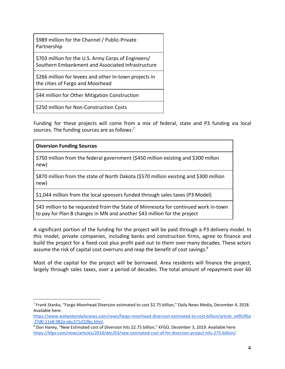\$989 million for the Channel / Public-Private Partnership

\$703 million for the U.S. Army Corps of Engineers/ Southern Embankment and Associated Infrastructure

\$266 million for levees and other In-town projects in the cities of Fargo and Moorhead

\$44 million for Other Mitigation Construction

\$250 million for Non-Construction Costs

Funding for these projects will come from a mix of federal, state and P3 funding via local sources. The funding sources are as follows:<sup>7</sup>

#### **Diversion Funding Sources**

\$750 million from the federal government (\$450 million existing and \$300 millon new)

\$870 million from the state of North Dakota (\$570 million existing and \$300 million new)

\$1,044 million from the local sponsors funded through sales taxes (P3 Model)

\$43 million to be requested from the State of Minnesota for continued work in-town to pay for Plan B changes in MN and another \$43 million for the project

A significant portion of the funding for the project will be paid through a P3 delivery model. In this model, private companies, including banks and construction firms, agree to finance and build the project for a fixed cost plus profit paid out to them over many decades. These actors assume the risk of capital cost overruns and reap the benefit of cost savings.<sup>8</sup>

Most of the capital for the project will be borrowed. Area residents will finance the project, largely through sales taxes, over a period of decades. The total amount of repayment over 60

<sup>7</sup> Frank Stanko, "Fargo-Moorhead Diversion estimated to cost \$2.75 billion," Daily News Media, December 4, 2018. Available here:

[https://www.wahpetondailynews.com/news/fargo-moorhead-diversion-estimated-to-cost-billion/article\\_edf63fba](https://www.wahpetondailynews.com/news/fargo-moorhead-diversion-estimated-to-cost-billion/article_edf63fba-f7d0-11e8-982a-ebc371cf10bc.html) [-f7d0-11e8-982a-ebc371cf10bc.html](https://www.wahpetondailynews.com/news/fargo-moorhead-diversion-estimated-to-cost-billion/article_edf63fba-f7d0-11e8-982a-ebc371cf10bc.html).

<sup>&</sup>lt;sup>8</sup> Don Haney, "New Estimated cost of Diversion hits \$2.75 billion," KFGO, December 3, 2019. Available here: <https://kfgo.com/news/articles/2018/dec/03/new-estimated-cost-of-fm-diversion-project-hits-275-billion/>.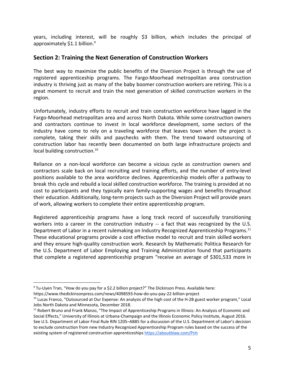years, including interest, will be roughly \$3 billion, which includes the principal of approximately \$1.1 billion.<sup>9</sup>

# **Section 2: Training the Next Generation of Construction Workers**

The best way to maximize the public benefits of the Diversion Project is through the use of registered apprenticeship programs. The Fargo-Moorhead metropolitan area construction industry is thriving just as many of the baby boomer construction workers are retiring. This is a great moment to recruit and train the next generation of skilled construction workers in the region.

Unfortunately, industry efforts to recruit and train construction workforce have lagged in the Fargo-Moorhead metropolitan area and across North Dakota. While some construction owners and contractors continue to invest in local workforce development, some sectors of the industry have come to rely on a traveling workforce that leaves town when the project is complete, taking their skills and paychecks with them. The trend toward outsourcing of construction labor has recently been documented on both large infrastructure projects and local building construction.<sup>10</sup>

Reliance on a non-local workforce can become a vicious cycle as construction owners and contractors scale back on local recruiting and training efforts, and the number of entry-level positions available to the area workforce declines. Apprenticeship models offer a pathway to break this cycle and rebuild a local skilled construction workforce. The training is provided at no cost to participants and they typically earn family-supporting wages and benefits throughout their education. Additionally, long-term projects such as the Diversion Project will provide years of work, allowing workers to complete their entire apprenticeship program.

Registered apprenticeship programs have a long track record of successfully transitioning workers into a career in the construction industry -- a fact that was recognized by the U.S. Department of Labor in a recent rulemaking on Industry Recognized Apprenticeship Programs.<sup>11</sup> These educational programs provide a cost effective model to recruit and train skilled workers and they ensure high-quality construction work. Research by Mathematic Politica Research for the U.S. Department of Labor Employing and Training Administration found that participants that complete a registered apprenticeship program "receive an average of \$301,533 more in

<sup>9</sup> Tu-Uyen Tran, "How do you pay for a \$2.2 billion project?" The Dickinson Press. Available here:

https://www.thedickinsonpress.com/news/4098593-how-do-you-pay-22-billion-project

<sup>&</sup>lt;sup>10</sup> Lucas Franco, "Outsourced at Our Expense: An analysis of the high cost of the H-2B guest worker program," Local Jobs North Dakota and Minnesota, December 2018.

<sup>&</sup>lt;sup>11</sup> Robert Bruno and Frank Manzo, "The Impact of Apprenticeship Programs in Illinois: An Analysis of Economic and Social Effects," University of Illinois at Urbana-Champaign and the Illinois Economic Policy Institute, August 2016. See U.S. Department of Labor Final Rule RIN 1205–AB85 for a discussion of the U.S. Department of Labor's decision to exclude construction from new Industry Recognized Apprenticeship Program rules based on the success of the existing system of registered construction apprenticeships <https://aboutblaw.com/Pnh>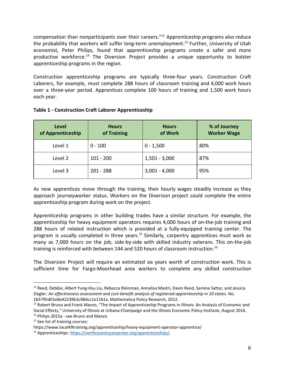compensation than nonparticipants over their careers." $^{12}$  Apprenticeship programs also reduce the probability that workers will suffer long-term unemployment.<sup>13</sup> Further, University of Utah economist, Peter Philips, found that apprenticeship programs create a safer and more productive workforce.<sup>14</sup> The Diversion Project provides a unique opportunity to bolster apprenticeship programs in the region.

Construction apprenticeship programs are typically three-four years. Construction Craft Laborers, for example, must complete 288 hours of classroom training and 4,000 work hours over a three-year period. Apprentices complete 100 hours of training and 1,500 work hours each year.

| Level<br>of Apprenticeship | <b>Hours</b><br>of Training | <b>Hours</b><br>of Work | % of Journey<br><b>Worker Wage</b> |
|----------------------------|-----------------------------|-------------------------|------------------------------------|
| Level 1                    | $0 - 100$                   | $0 - 1,500$             | 80%                                |
| Level 2                    | $101 - 200$                 | $1,501 - 3,000$         | 87%                                |
| Level 3                    | $201 - 288$                 | $3,001 - 4,000$         | 95%                                |

#### **Table 1 - Construction Craft Laborer Apprenticeship**

As new apprentices move through the training, their hourly wages steadily increase as they approach journeyworker status. Workers on the Diversion project could complete the entire apprenticeship program during work on the project.

Apprenticeship programs in other building trades have a similar structure. For example, the apprenticeship for heavy equipment operators requires 4,000 hours of on-the-job training and 288 hours of related instruction which is provided at a fully-equipped training center. The program is usually completed in three years.<sup>15</sup> Similarly, carpentry apprentices must work as many as 7,000 hours on the job, side-by-side with skilled industry veterans. This on-the-job training is reinforced with between 144 and 520 hours of classroom instruction.<sup>16</sup>

The Diversion Project will require an estimated six years worth of construction work. This is sufficient time for Fargo-Moorhead area workers to complete any skilled construction

<sup>&</sup>lt;sup>12</sup> Reed, Debbie, Albert Yung-Hsu Liu, Rebecca Kleinman, Annalisa Mastri, Davin Reed, Samina Sattar, and Jessica Ziegler. *An effectiveness assessment and cost-benefit analysis of registered apprenticeship in 10 states.* No. 1b5795d01e8a42239b3c98dcc1e1161a. Mathematica Policy Research, 2012.

<sup>&</sup>lt;sup>13</sup> Robert Bruno and Frank Manzo, "The Impact of Apprenticeship Programs in Illinois: An Analysis of Economic and Social Effects," University of Illinois at Urbana-Champaign and the Illinois Economic Policy Institute, August 2016. <sup>14</sup> Philips 2015a - see Bruno and Manzo

<sup>&</sup>lt;sup>15</sup> See list of training courses:

https://www.local49training.org/apprenticeship/heavy-equipment-operator-apprentice/

<sup>16</sup> Apprenticeships: <https://northcountrycarpenter.org/apprenticeships/>.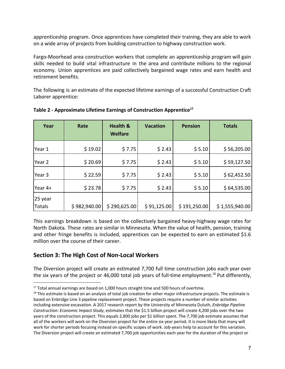apprenticeship program. Once apprentices have completed their training, they are able to work on a wide array of projects from building construction to highway construction work.

Fargo-Moorhead area construction workers that complete an apprenticeship program will gain skills needed to build vital infrastructure in the area and contribute millions to the regional economy. Union apprentices are paid collectively bargained wage rates and earn health and retirement benefits.

The following is an estimate of the expected lifetime earnings of a successful Construction Craft Laborer apprentice:

| Year                     | Rate         | <b>Health &amp;</b><br><b>Welfare</b> | <b>Vacation</b> | <b>Pension</b> | <b>Totals</b>  |
|--------------------------|--------------|---------------------------------------|-----------------|----------------|----------------|
| Year 1                   | \$19.02      | \$7.75                                | \$2.43          | \$5.10         | \$56,205.00    |
| Year 2                   | \$20.69      | \$7.75                                | \$2.43          | \$5.10         | \$59,127.50    |
| Year 3                   | \$22.59      | \$7.75                                | \$2.43          | \$5.10         | \$62,452.50    |
| Year 4+                  | \$23.78      | \$7.75                                | \$2.43          | \$5.10         | \$64,535.00    |
| 25 year<br><b>Totals</b> | \$982,940.00 | \$290,625.00                          | \$91,125.00     | \$191,250.00   | \$1,555,940.00 |

#### **Table 2 - Approximate Lifetime Earnings of Construction Apprentice<sup>17</sup>**

This earnings breakdown is based on the collectively bargained heavy-highway wage rates for North Dakota. These rates are similar in Minnesota. When the value of health, pension, training and other fringe benefits is included, apprentices can be expected to earn an estimated \$1.6 million over the course of their career.

# **Section 3: The High Cost of Non-Local Workers**

The Diversion project will create an estimated 7,700 full time construction jobs each year over the six years of the project or 46,000 total job years of full-time employment.<sup>18</sup> Put differently,

 $17$  Total annual earnings are based on 1,000 hours straight time and 500 hours of overtime.

 $18$  This estimate is based on an analysis of total job creation for other major infrastructure projects. The estimate is based on Enbridge Line 3 pipeline replacement project. These projects require a number of similar activities including extensive excavation. A 2017 research report by the University of Minnesota Duluth, *Enbridge Pipeline Construction: Economic Impact Study*, estimates that the \$1.5 billion project will create 4,200 jobs over the two years of the construction project. This equals 2,800 jobs per \$1 billion spent. The 7,700 job estimate assumes that all of the workers will work on the Diversion project for the entire six year period. It is more likely that many will work for shorter periods focusing instead on specific scopes of work. Job-years help to account for this variation. The Diversion project will create an estimated 7,700 job opportunities each year for the duration of the project or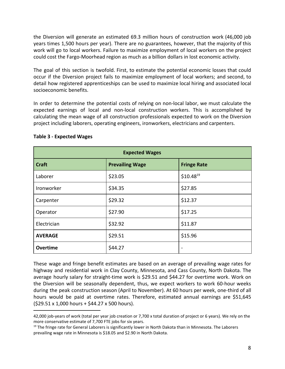the Diversion will generate an estimated 69.3 million hours of construction work (46,000 job years times 1,500 hours per year). There are no guarantees, however, that the majority of this work will go to local workers. Failure to maximize employment of local workers on the project could cost the Fargo-Moorhead region as much as a billion dollars in lost economic activity.

The goal of this section is twofold. First, to estimate the potential economic losses that could occur if the Diversion project fails to maximize employment of local workers; and second, to detail how registered apprenticeships can be used to maximize local hiring and associated local socioeconomic benefits.

In order to determine the potential costs of relying on non-local labor, we must calculate the expected earnings of local and non-local construction workers. This is accomplished by calculating the mean wage of all construction professionals expected to work on the Diversion project including laborers, operating engineers, ironworkers, electricians and carpenters.

| <b>Expected Wages</b> |                        |                    |  |  |
|-----------------------|------------------------|--------------------|--|--|
| <b>Craft</b>          | <b>Prevailing Wage</b> | <b>Fringe Rate</b> |  |  |
| Laborer               | \$23.05                | $$10.48^{19}$      |  |  |
| Ironworker            | \$34.35                | \$27.85            |  |  |
| Carpenter             | \$29.32                | \$12.37            |  |  |
| Operator              | \$27.90                | \$17.25            |  |  |
| Electrician           | \$32.92                | \$11.87            |  |  |
| <b>AVERAGE</b>        | \$29.51                | \$15.96            |  |  |
| Overtime              | \$44.27                |                    |  |  |

#### **Table 3 - Expected Wages**

These wage and fringe benefit estimates are based on an average of prevailing wage rates for highway and residential work in Clay County, Minnesota, and Cass County, North Dakota. The average hourly salary for straight-time work is \$29.51 and \$44.27 for overtime work. Work on the Diversion will be seasonally dependent, thus, we expect workers to work 60-hour weeks during the peak construction season (April to November). At 60 hours per week, one-third of all hours would be paid at overtime rates. Therefore, estimated annual earnings are \$51,645 (\$29.51 x 1,000 hours + \$44.27 x 500 hours).

<sup>42,000</sup> job-years of work (total per year job creation or 7,700 x total duration of project or 6 years). We rely on the more conservative estimate of 7,700 FTE jobs for six years.

<sup>&</sup>lt;sup>19</sup> The fringe rate for General Laborers is significantly lower in North Dakota than in Minnesota. The Laborers prevailing wage rate in Minnesota is \$18.05 and \$2.90 in North Dakota.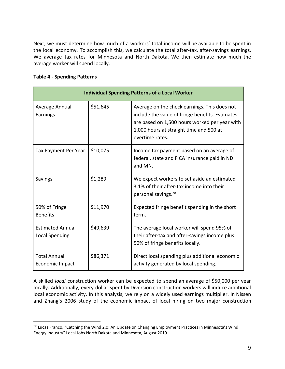Next, we must determine how much of a workers' total income will be available to be spent in the local economy. To accomplish this, we calculate the total after-tax, after-savings earnings. We average tax rates for Minnesota and North Dakota. We then estimate how much the average worker will spend locally.

#### **Table 4 - Spending Patterns**

|                                                  | <b>Individual Spending Patterns of a Local Worker</b> |                                                                                                                                                                                                                |  |  |
|--------------------------------------------------|-------------------------------------------------------|----------------------------------------------------------------------------------------------------------------------------------------------------------------------------------------------------------------|--|--|
| Average Annual<br>Earnings                       | \$51,645                                              | Average on the check earnings. This does not<br>include the value of fringe benefits. Estimates<br>are based on 1,500 hours worked per year with<br>1,000 hours at straight time and 500 at<br>overtime rates. |  |  |
| Tax Payment Per Year                             | \$10,075                                              | Income tax payment based on an average of<br>federal, state and FICA insurance paid in ND<br>and MN.                                                                                                           |  |  |
| <b>Savings</b>                                   | \$1,289                                               | We expect workers to set aside an estimated<br>3.1% of their after-tax income into their<br>personal savings. <sup>20</sup>                                                                                    |  |  |
| 50% of Fringe<br><b>Benefits</b>                 | \$11,970                                              | Expected fringe benefit spending in the short<br>term.                                                                                                                                                         |  |  |
| <b>Estimated Annual</b><br><b>Local Spending</b> | \$49,639                                              | The average local worker will spend 95% of<br>their after-tax and after-savings income plus<br>50% of fringe benefits locally.                                                                                 |  |  |
| <b>Total Annual</b><br>Economic Impact           | \$86,371                                              | Direct local spending plus additional economic<br>activity generated by local spending.                                                                                                                        |  |  |

A skilled *local* construction worker can be expected to spend an average of \$50,000 per year locally. Additionally, every dollar spent by Diversion construction workers will induce additional local economic activity. In this analysis, we rely on a widely used earnings multiplier. In Nissen and Zhang's 2006 study of the economic impact of local hiring on two major construction

<sup>&</sup>lt;sup>20</sup> Lucas Franco, "Catching the Wind 2.0: An Update on Changing Employment Practices in Minnesota's Wind Energy Industry" Local Jobs North Dakota and Minnesota, August 2019.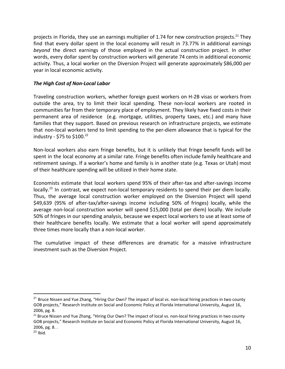projects in Florida, they use an earnings multiplier of 1.74 for new construction projects.<sup>21</sup> They find that every dollar spent in the local economy will result in 73.77% in additional earnings *beyond* the direct earnings of those employed in the actual construction project. In other words, every dollar spent by construction workers will generate 74 cents in additional economic activity. Thus, a local worker on the Diversion Project will generate approximately \$86,000 per year in local economic activity.

#### *The High Cost of Non-Local Labor*

Traveling construction workers, whether foreign guest workers on H-2B visas or workers from outside the area, try to limit their local spending. These non-local workers are rooted in communities far from their temporary place of employment. They likely have fixed costs in their permanent area of residence (e.g. mortgage, utilities, property taxes, etc.) and many have families that they support. Based on previous research on infrastructure projects, we estimate that non-local workers tend to limit spending to the per-diem allowance that is typical for the industry - \$75 to \$100. $^{22}$ 

Non-local workers also earn fringe benefits, but it is unlikely that fringe benefit funds will be spent in the local economy at a similar rate. Fringe benefits often include family healthcare and retirement savings. If a worker's home and family is in another state (e.g. Texas or Utah) most of their healthcare spending will be utilized in their home state.

Economists estimate that local workers spend 95% of their after-tax and after-savings income locally.<sup>23</sup> In contrast, we expect non-local temporary residents to spend their per diem locally. Thus, the average local construction worker employed on the Diversion Project will spend \$49,639 (95% of after-tax/after-savings income including 50% of fringes) locally, while the average non-local construction worker will spend \$15,000 (total per diem) locally. We include 50% of fringes in our spending analysis, because we expect local workers to use at least some of their healthcare benefits locally. We estimate that a local worker will spend approximately three times more locally than a non-local worker.

The cumulative impact of these differences are dramatic for a massive infrastructure investment such as the Diversion Project.

<sup>&</sup>lt;sup>21</sup> Bruce Nissen and Yue Zhang, "Hiring Our Own? The impact of local vs. non-local hiring practices in two county GOB projects," Research Institute on Social and Economic Policy at Florida International University, August 16, 2006, pg. 8.

 $22$  Bruce Nissen and Yue Zhang, "Hiring Our Own? The impact of local vs. non-local hiring practices in two county GOB projects," Research Institute on Social and Economic Policy at Florida International University, August 16, 2006, pg. 8. .

 $23$  Ibid.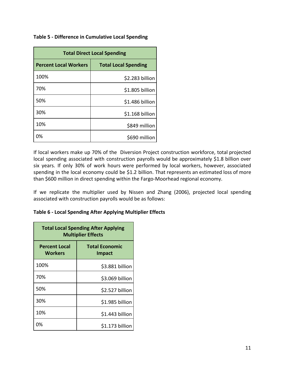#### **Table 5 - Difference in Cumulative Local Spending**

| <b>Total Direct Local Spending</b> |                             |  |  |
|------------------------------------|-----------------------------|--|--|
| <b>Percent Local Workers</b>       | <b>Total Local Spending</b> |  |  |
| 100%                               | \$2.283 billion             |  |  |
| 70%                                | \$1.805 billion             |  |  |
| 50%                                | \$1.486 billion             |  |  |
| 30%                                | \$1.168 billion             |  |  |
| 10%                                | \$849 million               |  |  |
| 0%                                 | \$690 million               |  |  |

If local workers make up 70% of the Diversion Project construction workforce, total projected local spending associated with construction payrolls would be approximately \$1.8 billion over six years. If only 30% of work hours were performed by local workers, however, associated spending in the local economy could be \$1.2 billion. That represents an estimated loss of more than \$600 million in direct spending within the Fargo-Moorhead regional economy.

If we replicate the multiplier used by Nissen and Zhang (2006), projected local spending associated with construction payrolls would be as follows:

#### **Table 6 - Local Spending After Applying Multiplier Effects**

| <b>Total Local Spending After Applying</b><br><b>Multiplier Effects</b> |                                        |  |  |
|-------------------------------------------------------------------------|----------------------------------------|--|--|
| <b>Percent Local</b><br>Workers                                         | <b>Total Economic</b><br><b>Impact</b> |  |  |
| 100%                                                                    | \$3.881 billion                        |  |  |
| 70%                                                                     | \$3.069 billion                        |  |  |
| 50%                                                                     | \$2.527 billion                        |  |  |
| 30%                                                                     | \$1.985 billion                        |  |  |
| 10%                                                                     | \$1.443 billion                        |  |  |
| 0%                                                                      | \$1.173 billion                        |  |  |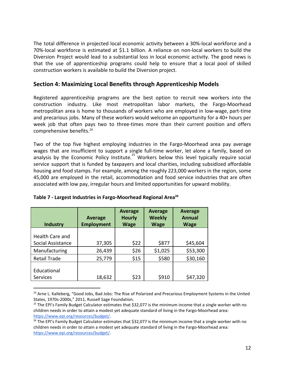The total difference in projected local economic activity between a 30%-local workforce and a 70%-local workforce is estimated at \$1.1 billion. A reliance on non-local workers to build the Diversion Project would lead to a substantial loss in local economic activity. The good news is that the use of apprenticeship programs could help to ensure that a local pool of skilled construction workers is available to build the Diversion project.

# **Section 4: Maximizing Local Benefits through Apprenticeship Models**

Registered apprenticeship programs are the best option to recruit new workers into the construction industry. Like most metropolitan labor markets, the Fargo-Moorhead metropolitan area is home to thousands of workers who are employed in low-wage, part-time and precarious jobs. Many of these workers would welcome an opportunity for a 40+ hours per week job that often pays two to three-times more than their current position and offers comprehensive benefits.<sup>24</sup>

Two of the top five highest employing industries in the Fargo-Moorhead area pay average wages that are insufficient to support a single full-time worker, let alone a family, based on analysis by the Economic Policy Institute.<sup>25</sup> Workers below this level typically require social service support that is funded by taxpayers and local charities, including subsidized affordable housing and food stamps. For example, among the roughly 223,000 workers in the region, some 45,000 are employed in the retail, accommodation and food service industries that are often associated with low pay, irregular hours and limited opportunities for upward mobility.

| <b>Industry</b>                | <b>Average</b><br><b>Employment</b> | <b>Average</b><br><b>Hourly</b><br><b>Wage</b> | <b>Average</b><br><b>Weekly</b><br><b>Wage</b> | <b>Average</b><br><b>Annual</b><br><b>Wage</b> |
|--------------------------------|-------------------------------------|------------------------------------------------|------------------------------------------------|------------------------------------------------|
| Health Care and                |                                     |                                                |                                                |                                                |
| Social Assistance              | 37,305                              | \$22                                           | \$877                                          | \$45,604                                       |
| Manufacturing                  | 26,439                              | \$26                                           | \$1,025                                        | \$53,300                                       |
| <b>Retail Trade</b>            | 25,779                              | \$15                                           | \$580                                          | \$30,160                                       |
| Educational<br><b>Services</b> | 18,632                              | \$23                                           | \$910                                          | \$47,320                                       |

|  |  |  | Table 7 - Largest Industries in Fargo-Moorhead Regional Area <sup>26</sup> |  |
|--|--|--|----------------------------------------------------------------------------|--|
|--|--|--|----------------------------------------------------------------------------|--|

<sup>&</sup>lt;sup>24</sup> Arne L. Kalleberg, "Good Jobs, Bad Jobs: The Rise of Polarized and Precarious Employment Systems in the United States, 1970s-2000s," 2011, Russell Sage Foundation.

<sup>&</sup>lt;sup>25</sup> The EPI's Family Budget Calculator estimates that \$32,077 is the minimum income that a single worker with no children needs in order to attain a modest yet adequate standard of living in the Fargo-Moorhead area: [https://www.epi.org/resources/budget/.](https://www.epi.org/resources/budget/)

<sup>&</sup>lt;sup>26</sup> The EPI's Family Budget Calculator estimates that \$32,077 is the minimum income that a single worker with no children needs in order to attain a modest yet adequate standard of living in the Fargo-Moorhead area: [https://www.epi.org/resources/budget/.](https://www.epi.org/resources/budget/)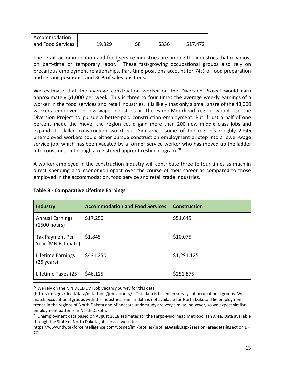| Accommodation     |        |     |       |          |
|-------------------|--------|-----|-------|----------|
| and Food Services | 19,329 | \$8 | \$336 | \$17,472 |

The retail, accommodation and food service industries are among the industries that rely most on part-time or temporary labor.<sup>27</sup> These fast-growing occupational groups also rely on precarious employment relationships. Part-time positions account for 74% of food preparation and serving positions, and 36% of sales positions.

We estimate that the average construction worker on the Diversion Project would earn approximately \$1,000 per week. This is three to four times the average weekly earnings of a worker in the food services and retail industries. It is likely that only a small share of the 43,000 workers employed in low-wage industries in the Fargo-Moorhead region would use the Diversion Project to pursue a better-paid construction employment. But if just a half of one percent made the move, the region could gain more than 200 new middle class jobs and expand its skilled construction workforce. Similarly, some of the region's roughly 2,845 unemployed workers could either pursue construction employment or step into a lower-wage service job, which has been vacated by a former service worker who has moved up the ladder into construction through a registered apprenticeship program.<sup>28</sup>

A worker employed in the construction industry will contribute three to four times as much in direct spending and economic impact over the course of their career as compared to those employed in the accommodation, food service and retail trade industries.

| <b>Industry</b>                           | <b>Accommodation and Food Services</b> | <b>Construction</b> |
|-------------------------------------------|----------------------------------------|---------------------|
| <b>Annual Earnings</b><br>(1500 hours)    | \$17,250                               | \$51,645            |
| Tax Payment Per<br>Year (MN Estimate)     | \$1,845                                | \$10,075            |
| Lifetime Earnings<br>$(25 \text{ years})$ | \$431,250                              | \$1,291,125         |
| Lifetime Taxes (25                        | \$46,125                               | \$251,875           |

#### **Table 8 - Comparative Lifetime Earnings**

<sup>27</sup> We rely on the MN DEED LMI Job Vacancy Survey for this data

<sup>(</sup>https://mn.gov/deed/data/data-tools/job-vacancy/). This data is based on surveys of occupational groups. We match occupational groups with the industries. Similar data is not available for North Dakota. The employment trends in the regions of North Dakota and Minnesota understudy are very similar, however, so we expect similar employment patterns in North Dakota.

<sup>&</sup>lt;sup>28</sup> Unemployment data based on August 2018 estimates for the Fargo-Moorhead Metropolitan Area. Data available through the State of North Dakota job service website:

https://www.ndworkforceintelligence.com/vosnet/lmi/profiles/profileDetails.aspx?session=areadetail&sectionID= 20.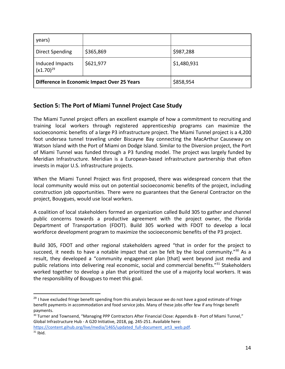| years)                                      |           |             |
|---------------------------------------------|-----------|-------------|
| <b>Direct Spending</b>                      | \$365,869 | \$987,288   |
| Induced Impacts<br>$(x1.70)^{29}$           | \$621,977 | \$1,480,931 |
| Difference in Economic Impact Over 25 Years |           | \$858,954   |

# **Section 5: The Port of Miami Tunnel Project Case Study**

The Miami Tunnel project offers an excellent example of how a commitment to recruiting and training local workers through registered apprenticeship programs can maximize the socioeconomic benefits of a large P3 infrastructure project. The Miami Tunnel project is a 4,200 foot undersea tunnel traveling under Biscayne Bay connecting the MacArthur Causeway on Watson Island with the Port of Miami on Dodge Island. Similar to the Diversion project, the Port of Miami Tunnel was funded through a P3 funding model. The project was largely funded by Meridian Infrastructure. Meridian is a European-based infrastructure partnership that often invests in major U.S. infrastructure projects.

When the Miami Tunnel Project was first proposed, there was widespread concern that the local community would miss out on potential socioeconomic benefits of the project, including construction job opportunities. There were no guarantees that the General Contractor on the project, Bouygues, would use local workers.

A coalition of local stakeholders formed an organization called Build 305 to gather and channel public concerns towards a productive agreement with the project owner, the Florida Department of Transportation (FDOT). Build 305 worked with FDOT to develop a local workforce development program to maximize the socioeconomic benefits of the P3 project.

Build 305, FDOT and other regional stakeholders agreed "that in order for the project to succeed, it needs to have a notable impact that can be felt by the local community."<sup>30</sup> As a result, they developed a "community engagement plan [that] went beyond just media and public relations into delivering real economic, social and commercial benefits." $31$  Stakeholders worked together to develop a plan that prioritized the use of a majority local workers. It was the responsibility of Bouygues to meet this goal.

[https://content.gihub.org/live/media/1465/updated\\_full-document\\_art3\\_web.pdf](https://content.gihub.org/live/media/1465/updated_full-document_art3_web.pdf).  $31$  Ibid.

<sup>&</sup>lt;sup>29</sup> I have excluded fringe benefit spending from this analysis because we do not have a good estimate of fringe benefit payments in accommodation and food service jobs. Many of these jobs offer few if any fringe benefit payments.

<sup>&</sup>lt;sup>30</sup> Turner and Townsend, "Managing PPP Contractors After Financial Close: Appendix B - Port of Miami Tunnel," Global Infrastructure Hub - A G20 Initiative, 2018, pg. 245-251. Available here: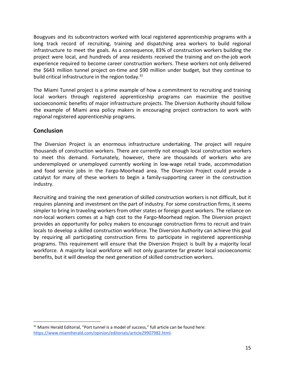Bougyues and its subcontractors worked with local registered apprenticeship programs with a long track record of recruiting, training and dispatching area workers to build regional infrastructure to meet the goals. As a consequence, 83% of construction workers building the project were local, and hundreds of area residents received the training and on-the-job work experience required to become career construction workers. These workers not only delivered the \$643 million tunnel project on-time and \$90 million under budget, but they continue to build critical infrastructure in the region today.<sup>32</sup>

The Miami Tunnel project is a prime example of how a commitment to recruiting and training local workers through registered apprenticeship programs can maximize the positive socioeconomic benefits of major infrastructure projects. The Diversion Authority should follow the example of Miami area policy makers in encouraging project contractors to work with regional registered apprenticeship programs.

# **Conclusion**

The Diversion Project is an enormous infrastructure undertaking. The project will require thousands of construction workers. There are currently not enough local construction workers to meet this demand. Fortunately, however, there are thousands of workers who are underemployed or unemployed currently working in low-wage retail trade, accommodation and food service jobs in the Fargo-Moorhead area. The Diversion Project could provide a catalyst for many of these workers to begin a family-supporting career in the construction industry.

Recruiting and training the next generation of skilled construction workers is not difficult, but it requires planning and investment on the part of industry. For some construction firms, it seems simpler to bring in traveling workers from other states or foreign guest workers. The reliance on non-local workers comes at a high cost to the Fargo-Moorhead region. The Diversion project provides an opportunity for policy makers to encourage construction firms to recruit and train locals to develop a skilled construction workforce. The Diversion Authority can achieve this goal by requiring all participating construction firms to participate in registered apprenticeship programs. This requirement will ensure that the Diversion Project is built by a majority local workforce. A majority local workforce will not only guarantee far greater local socioeconomic benefits, but it will develop the next generation of skilled construction workers.

<sup>&</sup>lt;sup>32</sup> Miami Herald Editorial, "Port tunnel is a model of success," full article can be found here: [https://www.miamiherald.com/opinion/editorials/article29907982.html.](https://www.miamiherald.com/opinion/editorials/article29907982.html)